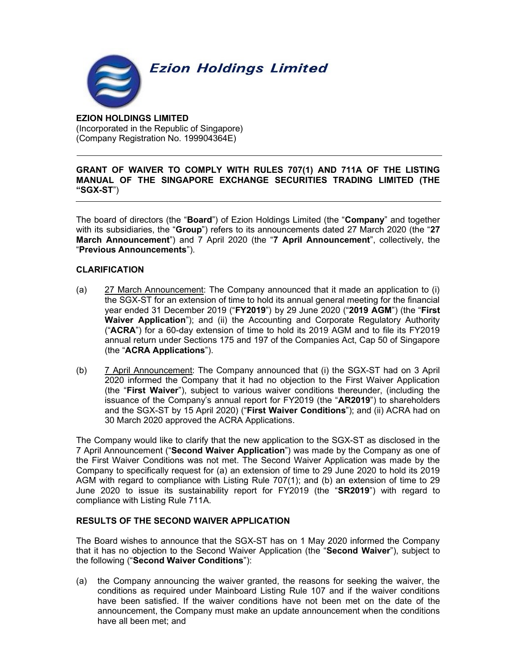

## EZION HOLDINGS LIMITED (Incorporated in the Republic of Singapore) (Company Registration No. 199904364E)

## GRANT OF WAIVER TO COMPLY WITH RULES 707(1) AND 711A OF THE LISTING MANUAL OF THE SINGAPORE EXCHANGE SECURITIES TRADING LIMITED (THE "SGX-ST")

The board of directors (the "Board") of Ezion Holdings Limited (the "Company" and together with its subsidiaries, the "Group") refers to its announcements dated 27 March 2020 (the "27 March Announcement") and 7 April 2020 (the "7 April Announcement", collectively, the "Previous Announcements").

## CLARIFICATION

- (a) 27 March Announcement: The Company announced that it made an application to (i) the SGX-ST for an extension of time to hold its annual general meeting for the financial year ended 31 December 2019 ("FY2019") by 29 June 2020 ("2019 AGM") (the "First Waiver Application"); and (ii) the Accounting and Corporate Regulatory Authority ("ACRA") for a 60-day extension of time to hold its 2019 AGM and to file its FY2019 annual return under Sections 175 and 197 of the Companies Act, Cap 50 of Singapore (the "ACRA Applications").
- (b) 7 April Announcement: The Company announced that (i) the SGX-ST had on 3 April 2020 informed the Company that it had no objection to the First Waiver Application (the "First Waiver"), subject to various waiver conditions thereunder, (including the issuance of the Company's annual report for FY2019 (the "AR2019") to shareholders and the SGX-ST by 15 April 2020) ("First Waiver Conditions"); and (ii) ACRA had on 30 March 2020 approved the ACRA Applications.

The Company would like to clarify that the new application to the SGX-ST as disclosed in the 7 April Announcement ("Second Waiver Application") was made by the Company as one of the First Waiver Conditions was not met. The Second Waiver Application was made by the Company to specifically request for (a) an extension of time to 29 June 2020 to hold its 2019 AGM with regard to compliance with Listing Rule 707(1); and (b) an extension of time to 29 June 2020 to issue its sustainability report for FY2019 (the "SR2019") with regard to compliance with Listing Rule 711A.

# RESULTS OF THE SECOND WAIVER APPLICATION

The Board wishes to announce that the SGX-ST has on 1 May 2020 informed the Company that it has no objection to the Second Waiver Application (the "Second Waiver"), subject to the following ("Second Waiver Conditions"):

(a) the Company announcing the waiver granted, the reasons for seeking the waiver, the conditions as required under Mainboard Listing Rule 107 and if the waiver conditions have been satisfied. If the waiver conditions have not been met on the date of the announcement, the Company must make an update announcement when the conditions have all been met; and